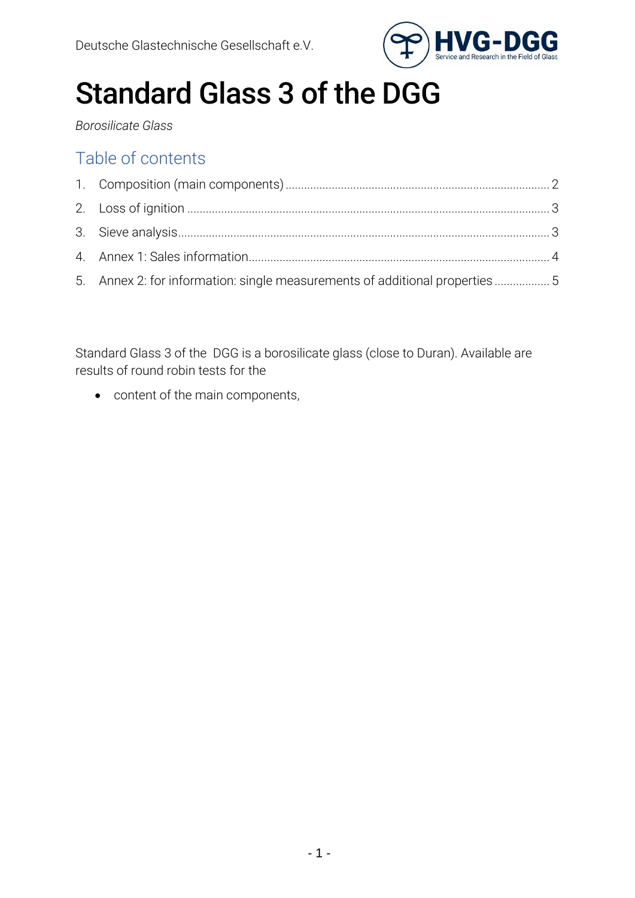

# Standard Glass 3 of the DGG

*Borosilicate Glass*

## Table of contents

| 5. Annex 2: for information: single measurements of additional properties5 |  |
|----------------------------------------------------------------------------|--|

Standard Glass 3 of the DGG is a borosilicate glass (close to Duran). Available are results of round robin tests for the

• content of the main components,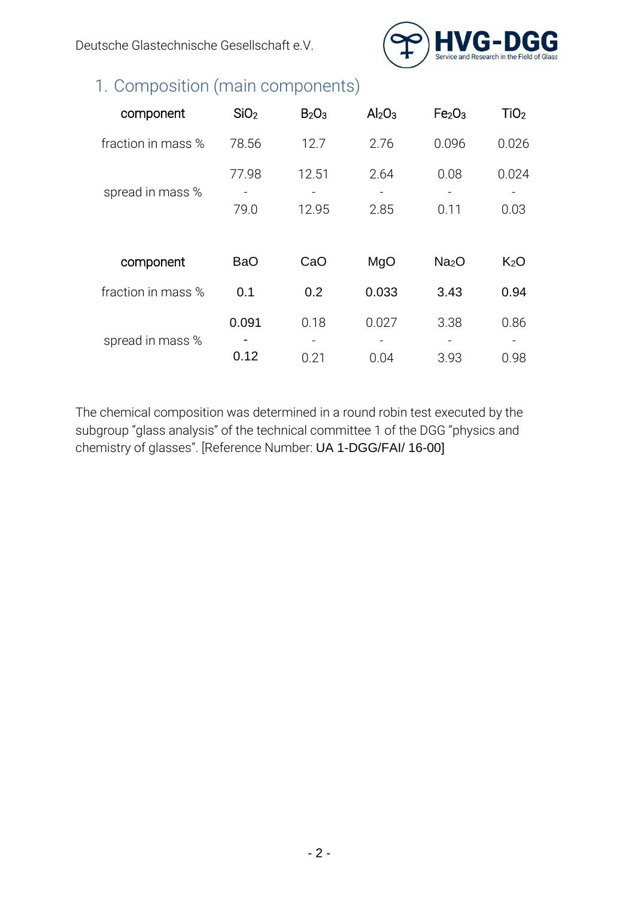Deutsche Glastechnische Gesellschaft e.V.



## <span id="page-1-0"></span>1. Composition (main components)

| component          | SiO <sub>2</sub> | B <sub>2</sub> O <sub>3</sub> | Al <sub>2</sub> O <sub>3</sub> | Fe <sub>2</sub> O <sub>3</sub> | TiO <sub>2</sub> |
|--------------------|------------------|-------------------------------|--------------------------------|--------------------------------|------------------|
| fraction in mass % | 78.56            | 12.7                          | 2.76                           | 0.096                          | 0.026            |
| spread in mass %   | 77.98<br>79.0    | 12.51<br>12.95                | 2.64<br>2.85                   | 0.08<br>0.11                   | 0.024<br>0.03    |
| component          | <b>BaO</b>       | CaO                           | MgO                            | Na <sub>2</sub> O              | K <sub>2</sub> O |
| fraction in mass % | 0.1              | 0.2                           | 0.033                          | 3.43                           | 0.94             |
| spread in mass %   | 0.091            | 0.18                          | 0.027                          | 3.38                           | 0.86             |
|                    | 0.12             | 0.21                          | 0.04                           | 3.93                           | 0.98             |

The chemical composition was determined in a round robin test executed by the subgroup "glass analysis" of the technical committee 1 of the DGG "physics and chemistry of glasses". [Reference Number: UA 1-DGG/FAI/ 16-00]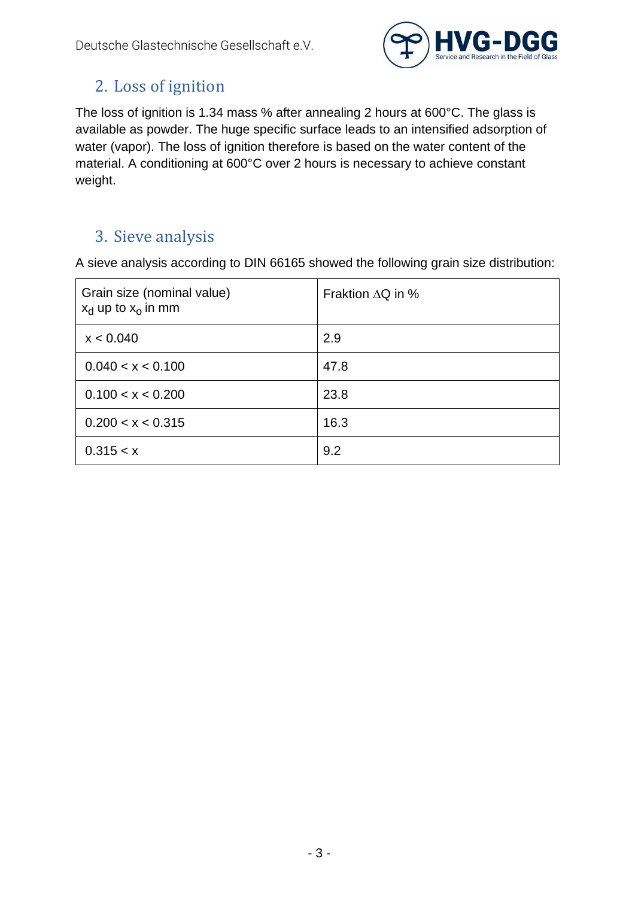

#### <span id="page-2-0"></span>2. Loss of ignition

The loss of ignition is 1.34 mass % after annealing 2 hours at 600°C. The glass is available as powder. The huge specific surface leads to an intensified adsorption of water (vapor). The loss of ignition therefore is based on the water content of the material. A conditioning at 600°C over 2 hours is necessary to achieve constant weight.

#### <span id="page-2-1"></span>3. Sieve analysis

A sieve analysis according to DIN 66165 showed the following grain size distribution:

| Grain size (nominal value)<br>$x_d$ up to $x_o$ in mm | Fraktion $\Delta Q$ in % |  |
|-------------------------------------------------------|--------------------------|--|
| x < 0.040                                             | 2.9                      |  |
| 0.040 < x < 0.100                                     | 47.8                     |  |
| 0.100 < x < 0.200                                     | 23.8                     |  |
| 0.200 < x < 0.315                                     | 16.3                     |  |
| 0.315 < x                                             | 9.2                      |  |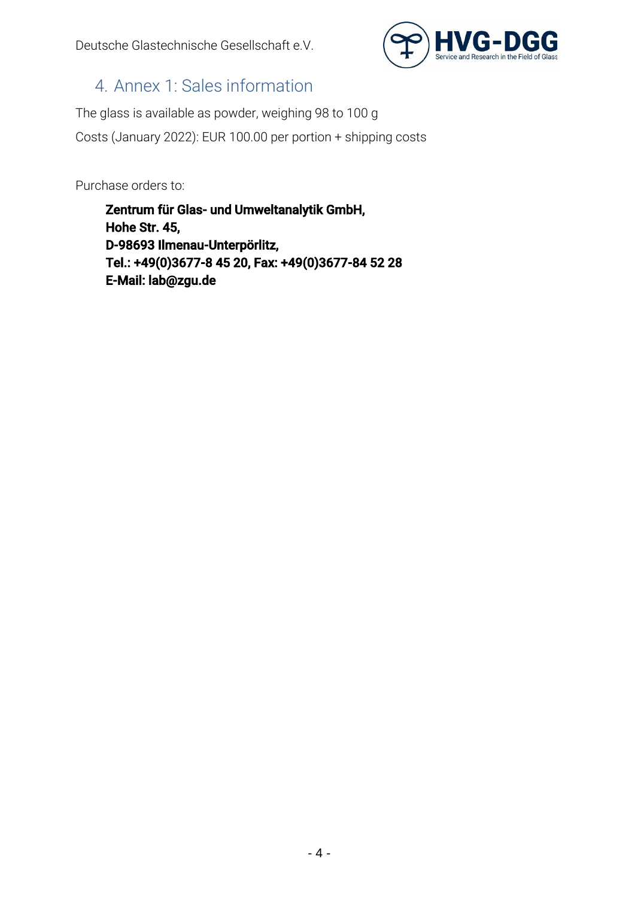

### <span id="page-3-0"></span>4. Annex 1: Sales information

The glass is available as powder, weighing 98 to 100 g Costs (January 2022): EUR 100.00 per portion + shipping costs

Purchase orders to:

Zentrum für Glas- und Umweltanalytik GmbH, Hohe Str. 45, D-98693 Ilmenau-Unterpörlitz, Tel.: +49(0)3677-8 45 20, Fax: +49(0)3677-84 52 28 E-Mail: lab@zgu.de